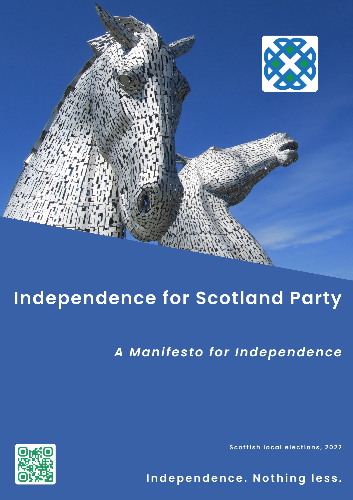

# **Independence for Scotland Party**

A Manifesto for Independence

**Scottish local elections, 2022** 

Independence. Nothing less.

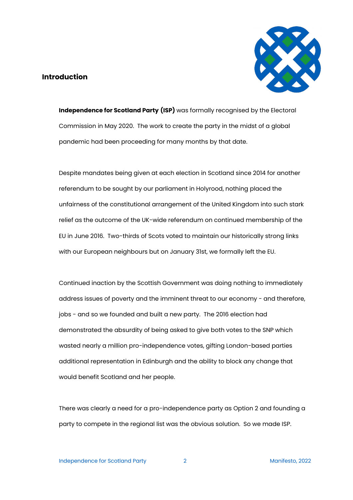# **Introduction**



**Independence for Scotland Party (ISP)** was formally recognised by the Electoral Commission in May 2020. The work to create the party in the midst of a global pandemic had been proceeding for many months by that date.

Despite mandates being given at each election in Scotland since 2014 for another referendum to be sought by our parliament in Holyrood, nothing placed the unfairness of the constitutional arrangement of the United Kingdom into such stark relief as the outcome of the UK-wide referendum on continued membership of the EU in June 2016. Two-thirds of Scots voted to maintain our historically strong links with our European neighbours but on January 31st, we formally left the EU.

Continued inaction by the Scottish Government was doing nothing to immediately address issues of poverty and the imminent threat to our economy - and therefore, jobs - and so we founded and built a new party. The 2016 election had demonstrated the absurdity of being asked to give both votes to the SNP which wasted nearly a million pro-independence votes, gifting London-based parties additional representation in Edinburgh and the ability to block any change that would benefit Scotland and her people.

There was clearly a need for a pro-independence party as Option 2 and founding a party to compete in the regional list was the obvious solution. So we made ISP.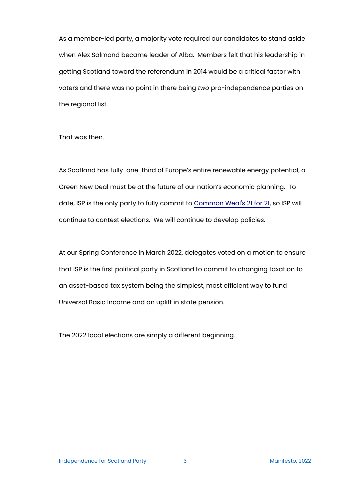As a member-led party, a majority vote required our candidates to stand aside when Alex Salmond became leader of Alba. Members felt that his leadership in getting Scotland toward the referendum in 2014 would be a critical factor with voters and there was no point in there being *two* pro-independence parties on the regional list.

That was then.

As Scotland has fully-one-third of Europe's entire renewable energy potential, a Green New Deal must be at the future of our nation's economic planning. To date, ISP is the only party to fully commit to [Common Weal](https://commonweal.scot/policies/21-for-21/)'s 21 for 21, so ISP will continue to contest elections. We will continue to develop policies.

At our Spring Conference in March 2022, delegates voted on a motion to ensure that ISP is the first political party in Scotland to commit to changing taxation to an asset-based tax system being the simplest, most efficient way to fund Universal Basic Income and an uplift in state pension.

The 2022 local elections are simply a different beginning.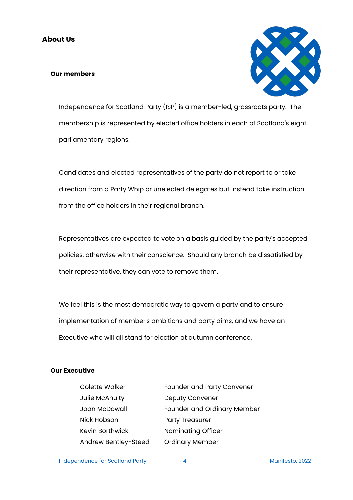#### **Our members**



Independence for Scotland Party (ISP) is a member-led, grassroots party. The membership is represented by elected office holders in each of Scotland's eight parliamentary regions.

Candidates and elected representatives of the party do not report to or take direction from a Party Whip or unelected delegates but instead take instruction from the office holders in their regional branch.

Representatives are expected to vote on a basis guided by the party's accepted policies, otherwise with their conscience. Should any branch be dissatisfied by their representative, they can vote to remove them.

We feel this is the most democratic way to govern a party and to ensure implementation of member's ambitions and party aims, and we have an Executive who will all stand for election at autumn conference.

#### **Our Executive**

| <b>Colette Walker</b>  | <b>Founder and Party Convener</b>  |
|------------------------|------------------------------------|
| Julie McAnulty         | <b>Deputy Convener</b>             |
| Joan McDowall          | <b>Founder and Ordinary Member</b> |
| Nick Hobson            | <b>Party Treasurer</b>             |
| <b>Kevin Borthwick</b> | Nominating Officer                 |
| Andrew Bentley-Steed   | <b>Ordinary Member</b>             |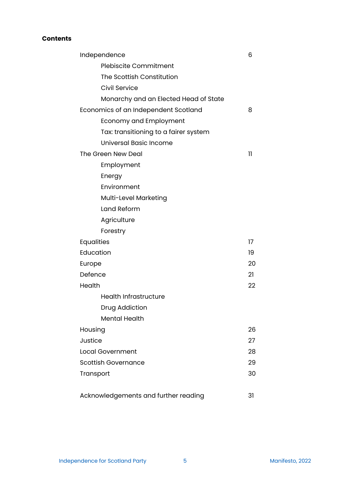# **Contents**

| Independence                          | 6            |
|---------------------------------------|--------------|
| <b>Plebiscite Commitment</b>          |              |
| The Scottish Constitution             |              |
| Civil Service                         |              |
| Monarchy and an Elected Head of State |              |
| Economics of an Independent Scotland  |              |
| Economy and Employment                |              |
| Tax: transitioning to a fairer system |              |
| <b>Universal Basic Income</b>         |              |
| The Green New Deal                    | $\mathbf{1}$ |
| Employment                            |              |
| Energy                                |              |
| Environment                           |              |
| Multi-Level Marketing                 |              |
| Land Reform                           |              |
| Agriculture                           |              |
| Forestry                              |              |
| <b>Equalities</b>                     |              |
| Education                             |              |
| Europe                                |              |
| Defence                               | 21           |
| Health                                | 22           |
| <b>Health Infrastructure</b>          |              |
| Drug Addiction                        |              |
| <b>Mental Health</b>                  |              |
| Housing                               | 26           |
| Justice                               | 27           |
| <b>Local Government</b>               | 28           |
| <b>Scottish Governance</b>            |              |
| Transport                             | 30           |
| Acknowledgements and further reading  | 31           |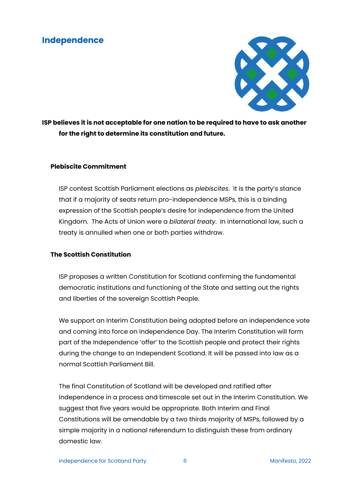# **Independence**



**ISP believes it is not acceptable for one nation to be required to have to ask another for the right to determine its constitution and future.**

# **Plebiscite Commitment**

ISP contest Scottish Parliament elections as *plebiscites*. It is the party's stance that if a majority of seats return pro-independence MSPs, this is a binding expression of the Scottish people's desire for independence from the United Kingdom. The Acts of Union were a *bilateral treaty*. In international law, such a treaty is annulled when one or both parties withdraw.

# **The Scottish Constitution**

ISP proposes a written Constitution for Scotland confirming the fundamental democratic institutions and functioning of the State and setting out the rights and liberties of the sovereign Scottish People.

We support an Interim Constitution being adopted before an independence vote and coming into force on Independence Day. The Interim Constitution will form part of the Independence 'offer' to the Scottish people and protect their rights during the change to an Independent Scotland. It will be passed into law as a normal Scottish Parliament Bill.

The final Constitution of Scotland will be developed and ratified after Independence in a process and timescale set out in the Interim Constitution. We suggest that five years would be appropriate. Both Interim and Final Constitutions will be amendable by a two thirds majority of MSPs, followed by a simple majority in a national referendum to distinguish these from ordinary domestic law.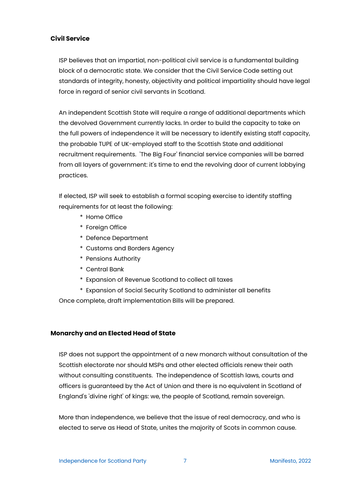#### **Civil Service**

ISP believes that an impartial, non-political civil service is a fundamental building block of a democratic state. We consider that the Civil Service Code setting out standards of integrity, honesty, objectivity and political impartiality should have legal force in regard of senior civil servants in Scotland.

An independent Scottish State will require a range of additional departments which the devolved Government currently lacks. In order to build the capacity to take on the full powers of independence it will be necessary to identify existing staff capacity, the probable TUPE of UK-employed staff to the Scottish State and additional recruitment requirements. 'The Big Four' financial service companies will be barred from all layers of government: it's time to end the revolving door of current lobbying practices.

If elected, ISP will seek to establish a formal scoping exercise to identify staffing requirements for at least the following:

- \* Home Office
- \* Foreign Office
- \* Defence Department
- \* Customs and Borders Agency
- \* Pensions Authority
- \* Central Bank
- \* Expansion of Revenue Scotland to collect all taxes
- \* Expansion of Social Security Scotland to administer all benefits

Once complete, draft implementation Bills will be prepared.

#### **Monarchy and an Elected Head of State**

ISP does not support the appointment of a new monarch without consultation of the Scottish electorate nor should MSPs and other elected officials renew their oath without consulting constituents. The independence of Scottish laws, courts and officers is guaranteed by the Act of Union and there is no equivalent in Scotland of England's 'divine right' of kings: we, the people of Scotland, remain sovereign.

More than independence, we believe that the issue of real democracy, and who is elected to serve as Head of State, unites the majority of Scots in common cause.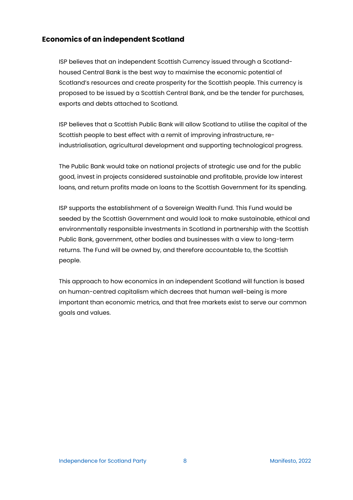# **Economics of an independent Scotland**

ISP believes that an independent Scottish Currency issued through a Scotlandhoused Central Bank is the best way to maximise the economic potential of Scotland's resources and create prosperity for the Scottish people. This currency is proposed to be issued by a Scottish Central Bank, and be the tender for purchases, exports and debts attached to Scotland.

ISP believes that a Scottish Public Bank will allow Scotland to utilise the capital of the Scottish people to best effect with a remit of improving infrastructure, reindustrialisation, agricultural development and supporting technological progress.

The Public Bank would take on national projects of strategic use and for the public good, invest in projects considered sustainable and profitable, provide low interest loans, and return profits made on loans to the Scottish Government for its spending.

ISP supports the establishment of a Sovereign Wealth Fund. This Fund would be seeded by the Scottish Government and would look to make sustainable, ethical and environmentally responsible investments in Scotland in partnership with the Scottish Public Bank, government, other bodies and businesses with a view to long-term returns. The Fund will be owned by, and therefore accountable to, the Scottish people.

This approach to how economics in an independent Scotland will function is based on human-centred capitalism which decrees that human well-being is more important than economic metrics, and that free markets exist to serve our common goals and values.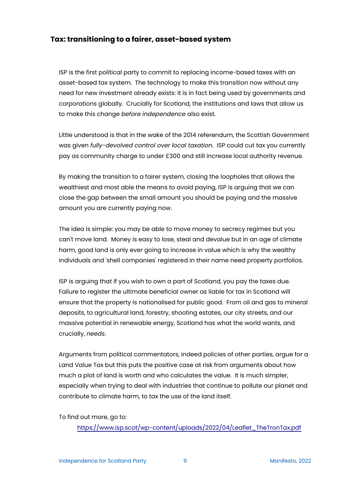# **Tax: transitioning to a fairer, asset-based system**

ISP is the first political party to commit to replacing income-based taxes with an asset-based tax system. The technology to make this transition now without any need for new investment already exists: it is in fact being used by governments and corporations globally. Crucially for Scotland, the institutions and laws that allow us to make this change *before independence* also exist.

Little understood is that in the wake of the 2014 referendum, the Scottish Government was given *fully-devolved control over local taxation*. ISP could cut tax you currently pay as community charge to under £300 and still increase local authority revenue.

By making the transition to a fairer system, closing the loopholes that allows the wealthiest and most able the means to avoid paying, ISP is arguing that we can close the gap between the small amount you should be paying and the massive amount you are currently paying now.

The idea is simple: you may be able to move money to secrecy regimes but you can't move land. Money is easy to lose, steal and devalue but in an age of climate harm, good land is only ever going to increase in value which is why the wealthy individuals and 'shell companies' registered in their name need property portfolios.

ISP is arguing that if you wish to own a part of Scotland, you pay the taxes due. Failure to register the ultimate beneficial owner as liable for tax in Scotland will ensure that the property is nationalised for public good. From oil and gas to mineral deposits, to agricultural land, forestry, shooting estates, our city streets, and our massive potential in renewable energy, Scotland has what the world wants, and crucially, *needs*.

Arguments from political commentators, indeed policies of other parties, argue for a Land Value Tax but this puts the positive case at risk from arguments about how much a plot of land is worth and who calculates the value. It is much simpler, especially when trying to deal with industries that continue to pollute our planet and contribute to climate harm, to tax the use of the land itself.

To find out more, go to:

[https://www.isp.scot/wp-content/uploads/2022/04/Leaflet\\_TheTronTax.pdf](https://www.isp.scot/wp-content/uploads/2022/04/Leaflet_TheTronTax.pdf)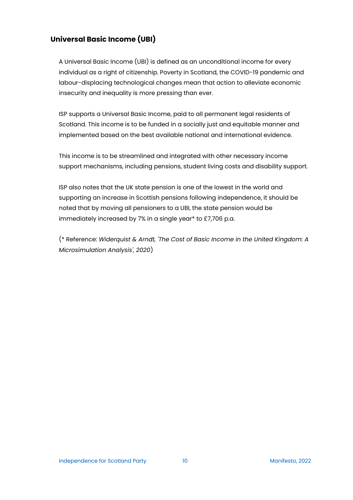# **Universal Basic Income (UBI)**

A Universal Basic Income (UBI) is defined as an unconditional income for every individual as a right of citizenship. Poverty in Scotland, the COVID-19 pandemic and labour-displacing technological changes mean that action to alleviate economic insecurity and inequality is more pressing than ever.

ISP supports a Universal Basic Income, paid to all permanent legal residents of Scotland. This income is to be funded in a socially just and equitable manner and implemented based on the best available national and international evidence.

This income is to be streamlined and integrated with other necessary income support mechanisms, including pensions, student living costs and disability support.

ISP also notes that the UK state pension is one of the lowest in the world and supporting an increase in Scottish pensions following independence, it should be noted that by moving all pensioners to a UBI, the state pension would be immediately increased by 7% in a single year\* to £7,706 p.a.

(\* Reference: *Widerquist & Arndt, 'The Cost of Basic Income in the United Kingdom: A Microsimulation Analysis', 2020*)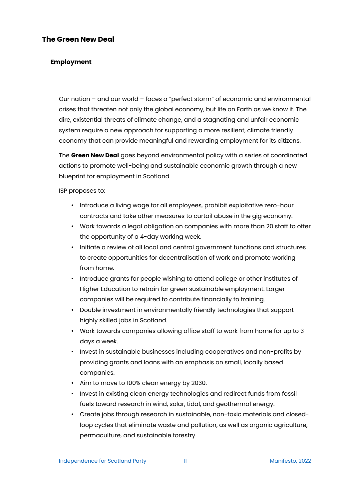# **The Green New Deal**

# **Employment**

Our nation – and our world – faces a "perfect storm" of economic and environmental crises that threaten not only the global economy, but life on Earth as we know it. The dire, existential threats of climate change, and a stagnating and unfair economic system require a new approach for supporting a more resilient, climate friendly economy that can provide meaningful and rewarding employment for its citizens.

The **Green New Deal** goes beyond environmental policy with a series of coordinated actions to promote well-being and sustainable economic growth through a new blueprint for employment in Scotland.

ISP proposes to:

- Introduce a living wage for all employees, prohibit exploitative zero-hour contracts and take other measures to curtail abuse in the gig economy.
- Work towards a legal obligation on companies with more than 20 staff to offer the opportunity of a 4-day working week.
- Initiate a review of all local and central government functions and structures to create opportunities for decentralisation of work and promote working from home.
- Introduce grants for people wishing to attend college or other institutes of Higher Education to retrain for green sustainable employment. Larger companies will be required to contribute financially to training.
- Double investment in environmentally friendly technologies that support highly skilled jobs in Scotland.
- Work towards companies allowing office staff to work from home for up to 3 days a week.
- Invest in sustainable businesses including cooperatives and non-profits by providing grants and loans with an emphasis on small, locally based companies.
- Aim to move to 100% clean energy by 2030.
- Invest in existing clean energy technologies and redirect funds from fossil fuels toward research in wind, solar, tidal, and geothermal energy.
- Create jobs through research in sustainable, non-toxic materials and closedloop cycles that eliminate waste and pollution, as well as organic agriculture, permaculture, and sustainable forestry.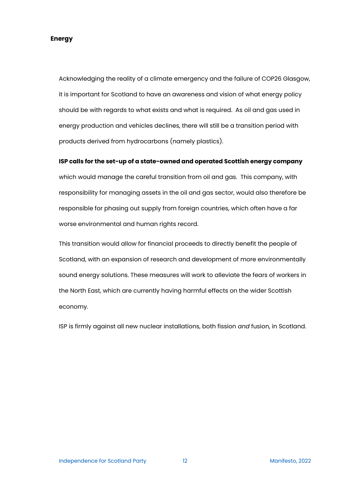#### **Energy**

Acknowledging the reality of a climate emergency and the failure of COP26 Glasgow, it is important for Scotland to have an awareness and vision of what energy policy should be with regards to what exists and what is required. As oil and gas used in energy production and vehicles declines, there will still be a transition period with products derived from hydrocarbons (namely plastics).

#### **ISP calls for the set-up of a state-owned and operated Scottish energy company**

which would manage the careful transition from oil and gas. This company, with responsibility for managing assets in the oil and gas sector, would also therefore be responsible for phasing out supply from foreign countries, which often have a far worse environmental and human rights record.

This transition would allow for financial proceeds to directly benefit the people of Scotland, with an expansion of research and development of more environmentally sound energy solutions. These measures will work to alleviate the fears of workers in the North East, which are currently having harmful effects on the wider Scottish economy.

ISP is firmly against all new nuclear installations, both fission *and* fusion, in Scotland.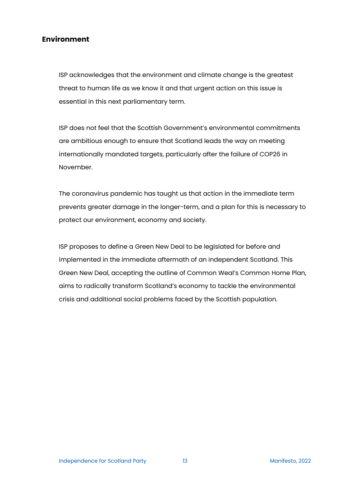# **Environment**

ISP acknowledges that the environment and climate change is the greatest threat to human life as we know it and that urgent action on this issue is essential in this next parliamentary term.

ISP does not feel that the Scottish Government's environmental commitments are ambitious enough to ensure that Scotland leads the way on meeting internationally mandated targets, particularly after the failure of COP26 in November.

The coronavirus pandemic has taught us that action in the immediate term prevents greater damage in the longer-term, and a plan for this is necessary to protect our environment, economy and society.

ISP proposes to define a Green New Deal to be legislated for before and implemented in the immediate aftermath of an independent Scotland. This Green New Deal, accepting the outline of Common Weal's Common Home Plan, aims to radically transform Scotland's economy to tackle the environmental crisis and additional social problems faced by the Scottish population.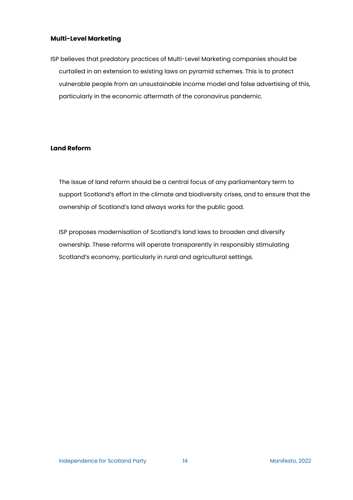#### **Multi-Level Marketing**

ISP believes that predatory practices of Multi-Level Marketing companies should be curtailed in an extension to existing laws on pyramid schemes. This is to protect vulnerable people from an unsustainable income model and false advertising of this, particularly in the economic aftermath of the coronavirus pandemic.

#### **Land Reform**

The issue of land reform should be a central focus of any parliamentary term to support Scotland's effort in the climate and biodiversity crises, and to ensure that the ownership of Scotland's land always works for the public good.

ISP proposes modernisation of Scotland's land laws to broaden and diversify ownership. These reforms will operate transparently in responsibly stimulating Scotland's economy, particularly in rural and agricultural settings.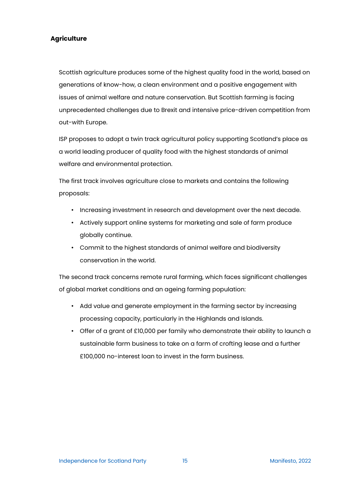#### **Agriculture**

Scottish agriculture produces some of the highest quality food in the world, based on generations of know-how, a clean environment and a positive engagement with issues of animal welfare and nature conservation. But Scottish farming is facing unprecedented challenges due to Brexit and intensive price-driven competition from out-with Europe.

ISP proposes to adopt a twin track agricultural policy supporting Scotland's place as a world leading producer of quality food with the highest standards of animal welfare and environmental protection.

The first track involves agriculture close to markets and contains the following proposals:

- Increasing investment in research and development over the next decade.
- Actively support online systems for marketing and sale of farm produce globally continue.
- Commit to the highest standards of animal welfare and biodiversity conservation in the world.

The second track concerns remote rural farming, which faces significant challenges of global market conditions and an ageing farming population:

- Add value and generate employment in the farming sector by increasing processing capacity, particularly in the Highlands and Islands.
- Offer of a grant of £10,000 per family who demonstrate their ability to launch a sustainable farm business to take on a farm of crofting lease and a further £100,000 no-interest loan to invest in the farm business.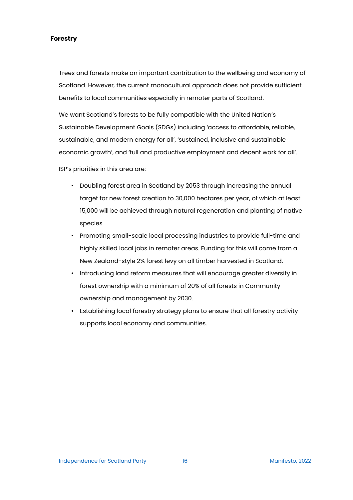#### **Forestry**

Trees and forests make an important contribution to the wellbeing and economy of Scotland. However, the current monocultural approach does not provide sufficient benefits to local communities especially in remoter parts of Scotland.

We want Scotland's forests to be fully compatible with the United Nation's Sustainable Development Goals (SDGs) including 'access to affordable, reliable, sustainable, and modern energy for all', 'sustained, inclusive and sustainable economic growth', and 'full and productive employment and decent work for all'.

ISP's priorities in this area are:

- Doubling forest area in Scotland by 2053 through increasing the annual target for new forest creation to 30,000 hectares per year, of which at least 15,000 will be achieved through natural regeneration and planting of native species.
- Promoting small-scale local processing industries to provide full-time and highly skilled local jobs in remoter areas. Funding for this will come from a New Zealand-style 2% forest levy on all timber harvested in Scotland.
- Introducing land reform measures that will encourage greater diversity in forest ownership with a minimum of 20% of all forests in Community ownership and management by 2030.
- Establishing local forestry strategy plans to ensure that all forestry activity supports local economy and communities.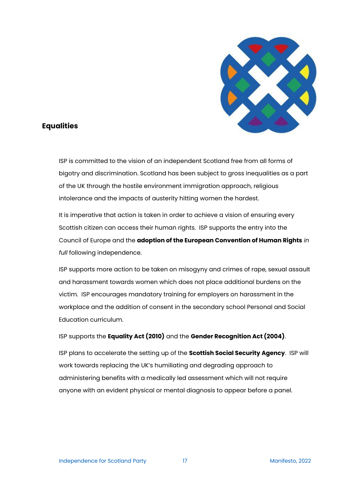

# **Equalities**

ISP is committed to the vision of an independent Scotland free from all forms of bigotry and discrimination. Scotland has been subject to gross inequalities as a part of the UK through the hostile environment immigration approach, religious intolerance and the impacts of austerity hitting women the hardest.

It is imperative that action is taken in order to achieve a vision of ensuring every Scottish citizen can access their human rights. ISP supports the entry into the Council of Europe and the **adoption of the European Convention of Human Rights** *in full* following independence.

ISP supports more action to be taken on misogyny and crimes of rape, sexual assault and harassment towards women which does not place additional burdens on the victim. ISP encourages mandatory training for employers on harassment in the workplace and the addition of consent in the secondary school Personal and Social Education curriculum.

# ISP supports the **Equality Act (2010)** and the **Gender Recognition Act (2004)**.

ISP plans to accelerate the setting up of the **Scottish Social Security Agency**. ISP will work towards replacing the UK's humiliating and degrading approach to administering benefits with a medically led assessment which will not require anyone with an evident physical or mental diagnosis to appear before a panel.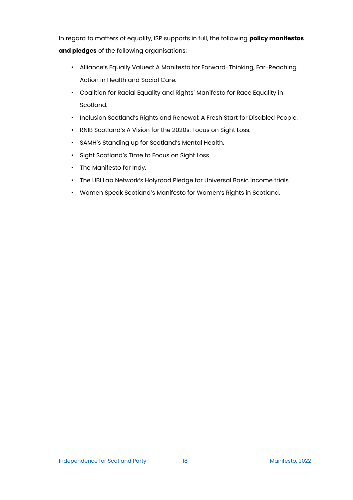In regard to matters of equality, ISP supports in full, the following **policy manifestos and pledges** of the following organisations:

- Alliance's Equally Valued: A Manifesto for Forward-Thinking, Far-Reaching Action in Health and Social Care.
- Coalition for Racial Equality and Rights' Manifesto for Race Equality in Scotland.
- Inclusion Scotland's Rights and Renewal: A Fresh Start for Disabled People.
- RNIB Scotland's A Vision for the 2020s: Focus on Sight Loss.
- SAMH's Standing up for Scotland's Mental Health.
- Sight Scotland's Time to Focus on Sight Loss.
- The Manifesto for Indy.
- The UBI Lab Network's Holyrood Pledge for Universal Basic Income trials.
- Women Speak Scotland's Manifesto for Women's Rights in Scotland.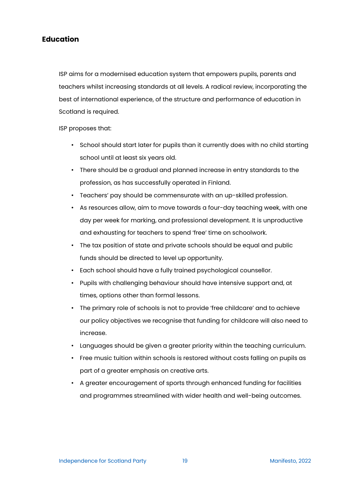# **Education**

ISP aims for a modernised education system that empowers pupils, parents and teachers whilst increasing standards at all levels. A radical review, incorporating the best of international experience, of the structure and performance of education in Scotland is required.

ISP proposes that:

- School should start later for pupils than it currently does with no child starting school until at least six years old.
- There should be a gradual and planned increase in entry standards to the profession, as has successfully operated in Finland.
- Teachers' pay should be commensurate with an up-skilled profession.
- As resources allow, aim to move towards a four-day teaching week, with one day per week for marking, and professional development. It is unproductive and exhausting for teachers to spend 'free' time on schoolwork.
- The tax position of state and private schools should be equal and public funds should be directed to level up opportunity.
- Each school should have a fully trained psychological counsellor.
- Pupils with challenging behaviour should have intensive support and, at times, options other than formal lessons.
- The primary role of schools is not to provide 'free childcare' and to achieve our policy objectives we recognise that funding for childcare will also need to increase.
- Languages should be given a greater priority within the teaching curriculum.
- Free music tuition within schools is restored without costs falling on pupils as part of a greater emphasis on creative arts.
- A greater encouragement of sports through enhanced funding for facilities and programmes streamlined with wider health and well-being outcomes.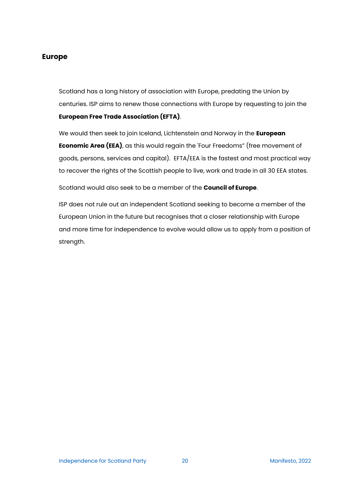# **Europe**

Scotland has a long history of association with Europe, predating the Union by centuries. ISP aims to renew those connections with Europe by requesting to join the **European Free Trade Association (EFTA)**.

We would then seek to join Iceland, Lichtenstein and Norway in the **European Economic Area (EEA)**, as this would regain the 'Four Freedoms" (free movement of goods, persons, services and capital). EFTA/EEA is the fastest and most practical way to recover the rights of the Scottish people to live, work and trade in all 30 EEA states.

Scotland would also seek to be a member of the **Council of Europe**.

ISP does not rule out an independent Scotland seeking to become a member of the European Union in the future but recognises that a closer relationship with Europe and more time for independence to evolve would allow us to apply from a position of strength.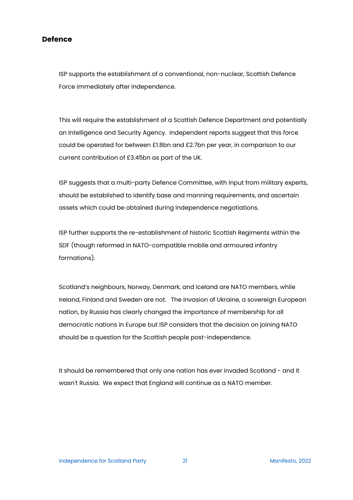#### **Defence**

ISP supports the establishment of a conventional, non-nuclear, Scottish Defence Force immediately after independence.

This will require the establishment of a Scottish Defence Department and potentially an Intelligence and Security Agency. Independent reports suggest that this force could be operated for between £1.8bn and £2.7bn per year, in comparison to our current contribution of £3.45bn as part of the UK.

ISP suggests that a multi-party Defence Committee, with input from military experts, should be established to identify base and manning requirements, and ascertain assets which could be obtained during independence negotiations.

ISP further supports the re-establishment of historic Scottish Regiments within the SDF (though reformed in NATO-compatible mobile and armoured infantry formations).

Scotland's neighbours, Norway, Denmark, and Iceland are NATO members, while Ireland, Finland and Sweden are not. The invasion of Ukraine, a sovereign European nation, by Russia has clearly changed the importance of membership for all democratic nations in Europe but ISP considers that the decision on joining NATO should be a question for the Scottish people post-independence.

It should be remembered that only one nation has ever invaded Scotland - and it wasn't Russia. We expect that England will continue as a NATO member.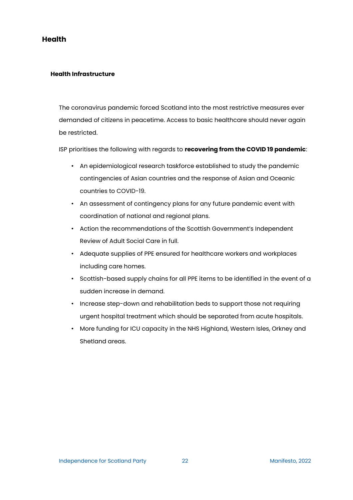# **Health**

#### **Health Infrastructure**

The coronavirus pandemic forced Scotland into the most restrictive measures ever demanded of citizens in peacetime. Access to basic healthcare should never again be restricted.

ISP prioritises the following with regards to **recovering from the COVID 19 pandemic**:

- An epidemiological research taskforce established to study the pandemic contingencies of Asian countries and the response of Asian and Oceanic countries to COVID-19.
- An assessment of contingency plans for any future pandemic event with coordination of national and regional plans.
- Action the recommendations of the Scottish Government's Independent Review of Adult Social Care in full.
- Adequate supplies of PPE ensured for healthcare workers and workplaces including care homes.
- Scottish-based supply chains for all PPE items to be identified in the event of a sudden increase in demand.
- Increase step-down and rehabilitation beds to support those not requiring urgent hospital treatment which should be separated from acute hospitals.
- More funding for ICU capacity in the NHS Highland, Western Isles, Orkney and Shetland areas.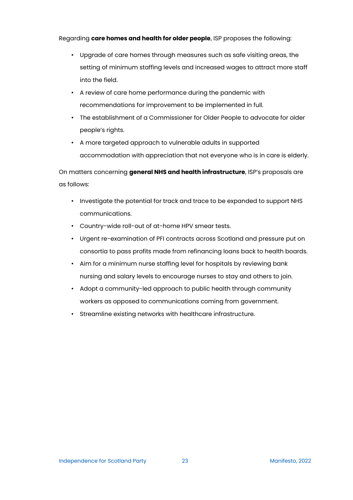Regarding **care homes and health for older people**, ISP proposes the following:

- Upgrade of care homes through measures such as safe visiting areas, the setting of minimum staffing levels and increased wages to attract more staff into the field.
- A review of care home performance during the pandemic with recommendations for improvement to be implemented in full.
- The establishment of a Commissioner for Older People to advocate for older people's rights.
- A more targeted approach to vulnerable adults in supported accommodation with appreciation that not everyone who is in care is elderly.

On matters concerning **general NHS and health infrastructure**, ISP's proposals are as follows:

- Investigate the potential for track and trace to be expanded to support NHS communications.
- Country-wide roll-out of at-home HPV smear tests.
- Urgent re-examination of PFI contracts across Scotland and pressure put on consortia to pass profits made from refinancing loans back to health boards.
- Aim for a minimum nurse staffing level for hospitals by reviewing bank nursing and salary levels to encourage nurses to stay and others to join.
- Adopt a community-led approach to public health through community workers as opposed to communications coming from government.
- Streamline existing networks with healthcare infrastructure.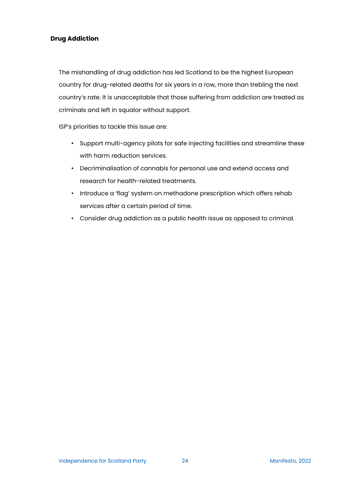# **Drug Addiction**

The mishandling of drug addiction has led Scotland to be the highest European country for drug-related deaths for six years in a row, more than trebling the next country's rate. It is unacceptable that those suffering from addiction are treated as criminals and left in squalor without support.

ISP's priorities to tackle this issue are:

- Support multi-agency pilots for safe injecting facilities and streamline these with harm reduction services.
- Decriminalisation of cannabis for personal use and extend access and research for health-related treatments.
- Introduce a 'flag' system on methadone prescription which offers rehab services after a certain period of time.
- Consider drug addiction as a public health issue as opposed to criminal.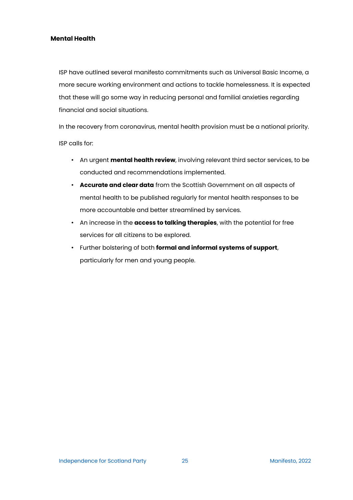#### **Mental Health**

ISP have outlined several manifesto commitments such as Universal Basic Income, a more secure working environment and actions to tackle homelessness. It is expected that these will go some way in reducing personal and familial anxieties regarding financial and social situations.

In the recovery from coronavirus, mental health provision must be a national priority. ISP calls for:

- An urgent **mental health review**, involving relevant third sector services, to be conducted and recommendations implemented.
- **Accurate and clear data** from the Scottish Government on all aspects of mental health to be published regularly for mental health responses to be more accountable and better streamlined by services.
- An increase in the **access to talking therapies**, with the potential for free services for all citizens to be explored.
- Further bolstering of both **formal and informal systems of support**, particularly for men and young people.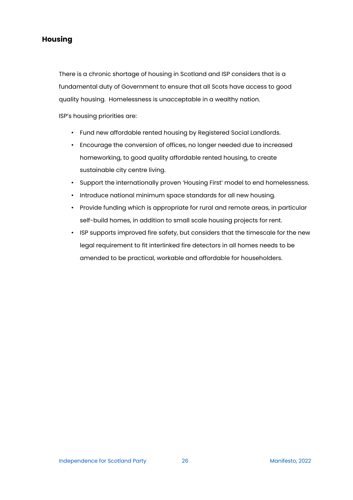# **Housing**

There is a chronic shortage of housing in Scotland and ISP considers that is a fundamental duty of Government to ensure that all Scots have access to good quality housing. Homelessness is unacceptable in a wealthy nation.

ISP's housing priorities are:

- Fund new affordable rented housing by Registered Social Landlords.
- Encourage the conversion of offices, no longer needed due to increased homeworking, to good quality affordable rented housing, to create sustainable city centre living.
- Support the internationally proven 'Housing First' model to end homelessness.
- Introduce national minimum space standards for all new housing.
- Provide funding which is appropriate for rural and remote areas, in particular self-build homes, in addition to small scale housing projects for rent.
- ISP supports improved fire safety, but considers that the timescale for the new legal requirement to fit interlinked fire detectors in all homes needs to be amended to be practical, workable and affordable for householders.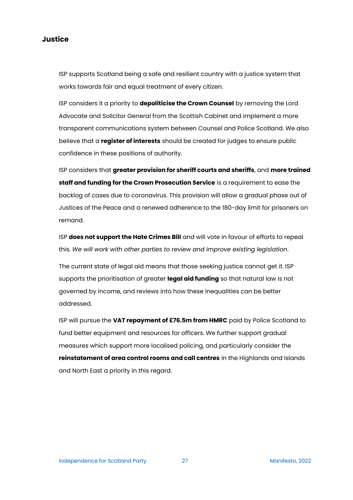**Justice**

ISP supports Scotland being a safe and resilient country with a justice system that works towards fair and equal treatment of every citizen.

ISP considers it a priority to **depoliticise the Crown Counsel** by removing the Lord Advocate and Solicitor General from the Scottish Cabinet and implement a more transparent communications system between Counsel and Police Scotland. We also believe that a **register of interests** should be created for judges to ensure public confidence in these positions of authority.

ISP considers that **greater provision for sheriff courts and sheriffs**, and **more trained staff and funding for the Crown Prosecution Service** is a requirement to ease the backlog of cases due to coronavirus. This provision will allow a gradual phase out of Justices of the Peace and a renewed adherence to the 180-day limit for prisoners on remand.

ISP **does not support the Hate Crimes Bill** and will vote in favour of efforts to repeal this. *We will work with other parties to review and improve existing legislation*.

The current state of legal aid means that those seeking justice cannot get it. ISP supports the prioritisation of greater **legal aid funding** so that natural law is not governed by income, and reviews into how these inequalities can be better addressed.

ISP will pursue the **VAT repayment of £76.5m from HMRC** paid by Police Scotland to fund better equipment and resources for officers. We further support gradual measures which support more localised policing, and particularly consider the **reinstatement of area control rooms and call centres** in the Highlands and Islands and North East a priority in this regard.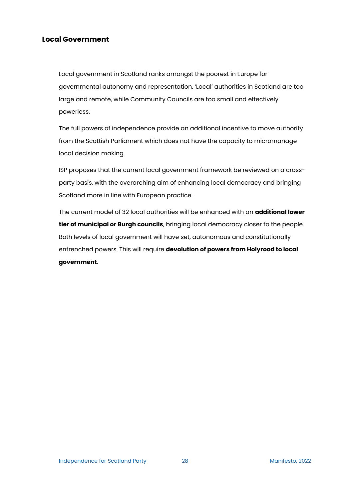# **Local Government**

Local government in Scotland ranks amongst the poorest in Europe for governmental autonomy and representation. 'Local' authorities in Scotland are too large and remote, while Community Councils are too small and effectively powerless.

The full powers of independence provide an additional incentive to move authority from the Scottish Parliament which does not have the capacity to micromanage local decision making.

ISP proposes that the current local government framework be reviewed on a crossparty basis, with the overarching aim of enhancing local democracy and bringing Scotland more in line with European practice.

The current model of 32 local authorities will be enhanced with an **additional lower tier of municipal or Burgh councils**, bringing local democracy closer to the people. Both levels of local government will have set, autonomous and constitutionally entrenched powers. This will require **devolution of powers from Holyrood to local government**.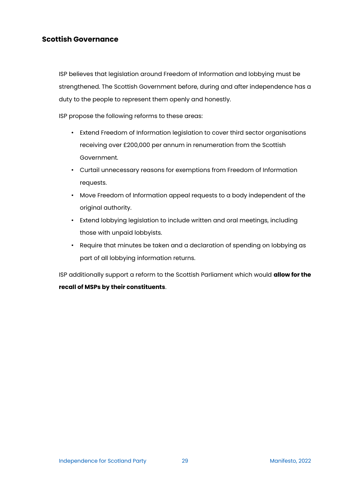# **Scottish Governance**

ISP believes that legislation around Freedom of Information and lobbying must be strengthened. The Scottish Government before, during and after independence has a duty to the people to represent them openly and honestly.

ISP propose the following reforms to these areas:

- Extend Freedom of Information legislation to cover third sector organisations receiving over £200,000 per annum in renumeration from the Scottish Government.
- Curtail unnecessary reasons for exemptions from Freedom of Information requests.
- Move Freedom of Information appeal requests to a body independent of the original authority.
- Extend lobbying legislation to include written and oral meetings, including those with unpaid lobbyists.
- Require that minutes be taken and a declaration of spending on lobbying as part of all lobbying information returns.

ISP additionally support a reform to the Scottish Parliament which would **allow for the recall of MSPs by their constituents**.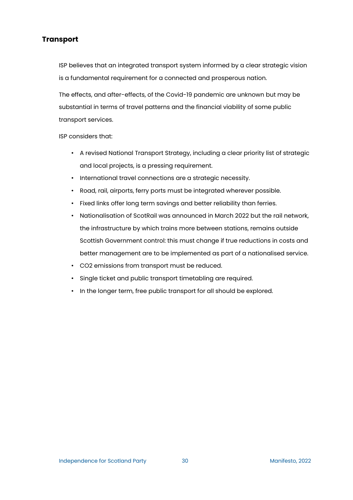# **Transport**

ISP believes that an integrated transport system informed by a clear strategic vision is a fundamental requirement for a connected and prosperous nation.

The effects, and after-effects, of the Covid-19 pandemic are unknown but may be substantial in terms of travel patterns and the financial viability of some public transport services.

ISP considers that:

- A revised National Transport Strategy, including a clear priority list of strategic and local projects, is a pressing requirement.
- International travel connections are a strategic necessity.
- Road, rail, airports, ferry ports must be integrated wherever possible.
- Fixed links offer long term savings and better reliability than ferries.
- Nationalisation of ScotRail was announced in March 2022 but the rail network, the infrastructure by which trains more between stations, remains outside Scottish Government control: this must change if true reductions in costs and better management are to be implemented as part of a nationalised service.
- CO2 emissions from transport must be reduced.
- Single ticket and public transport timetabling are required.
- In the longer term, free public transport for all should be explored.